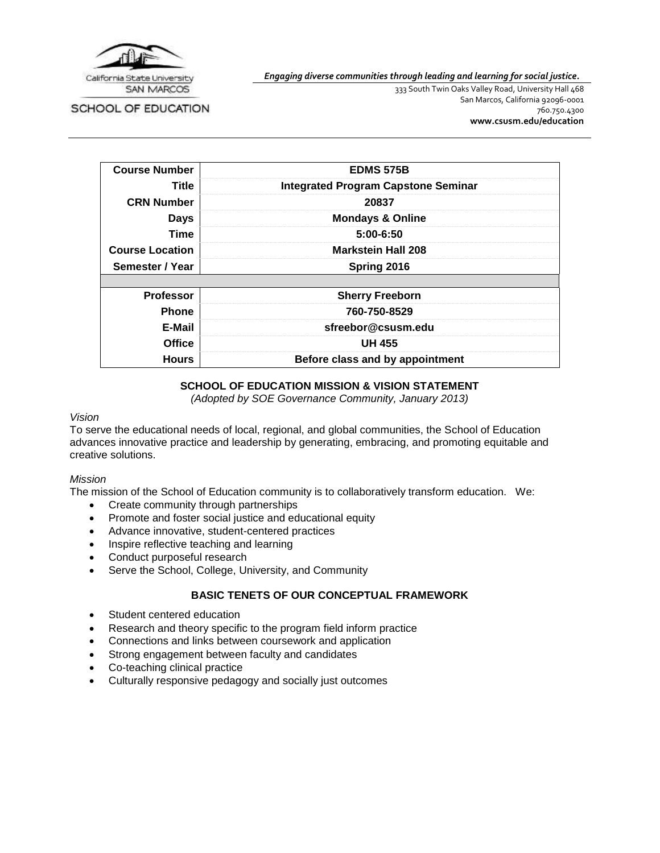

*Engaging diverse communities through leading and learning for social justice.*

SCHOOL OF EDUCATION

333 South Twin Oaks Valley Road, University Hall 468 San Marcos, California 92096-0001 760.750.4300 **[www.csusm.edu/education](http://www.csusm.edu/education)**

| <b>Course Number</b>   | <b>EDMS 575B</b>                           |  |
|------------------------|--------------------------------------------|--|
| Title                  | <b>Integrated Program Capstone Seminar</b> |  |
| <b>CRN Number</b>      | 20837                                      |  |
| <b>Days</b>            | <b>Mondays &amp; Online</b>                |  |
| Time                   | $5:00 - 6:50$                              |  |
| <b>Course Location</b> | <b>Markstein Hall 208</b>                  |  |
| Semester / Year        | Spring 2016                                |  |
|                        |                                            |  |
| <b>Professor</b>       | <b>Sherry Freeborn</b>                     |  |
| <b>Phone</b>           | 760-750-8529                               |  |
| E-Mail                 | sfreebor@csusm.edu                         |  |
| <b>Office</b>          | <b>UH 455</b>                              |  |
| <b>Hours</b>           | Before class and by appointment            |  |

# **SCHOOL OF EDUCATION MISSION & VISION STATEMENT**

*(Adopted by SOE Governance Community, January 2013)*

#### *Vision*

To serve the educational needs of local, regional, and global communities, the School of Education advances innovative practice and leadership by generating, embracing, and promoting equitable and creative solutions.

#### *Mission*

The mission of the School of Education community is to collaboratively transform education. We:

- Create community through partnerships
- Promote and foster social justice and educational equity
- Advance innovative, student-centered practices
- Inspire reflective teaching and learning
- Conduct purposeful research
- Serve the School, College, University, and Community

# **BASIC TENETS OF OUR CONCEPTUAL FRAMEWORK**

- Student centered education
- Research and theory specific to the program field inform practice
- Connections and links between coursework and application
- Strong engagement between faculty and candidates
- Co-teaching clinical practice
- Culturally responsive pedagogy and socially just outcomes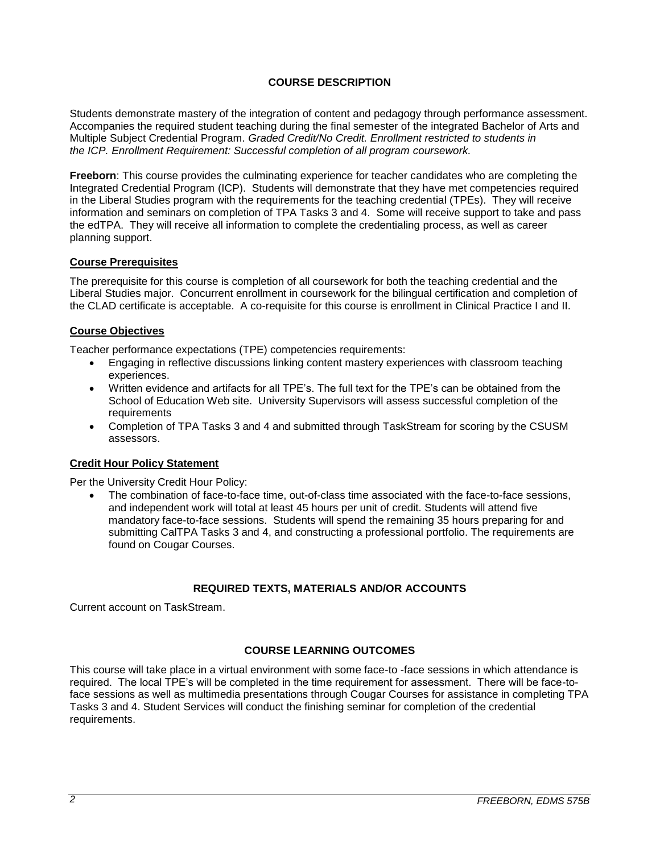# **COURSE DESCRIPTION**

Students demonstrate mastery of the integration of content and pedagogy through performance assessment. Accompanies the required student teaching during the final semester of the integrated Bachelor of Arts and Multiple Subject Credential Program. *Graded Credit/No Credit. Enrollment restricted to students in the ICP. Enrollment Requirement: Successful completion of all program coursework.*

**Freeborn**: This course provides the culminating experience for teacher candidates who are completing the Integrated Credential Program (ICP). Students will demonstrate that they have met competencies required in the Liberal Studies program with the requirements for the teaching credential (TPEs). They will receive information and seminars on completion of TPA Tasks 3 and 4. Some will receive support to take and pass the edTPA. They will receive all information to complete the credentialing process, as well as career planning support.

### **Course Prerequisites**

The prerequisite for this course is completion of all coursework for both the teaching credential and the Liberal Studies major. Concurrent enrollment in coursework for the bilingual certification and completion of the CLAD certificate is acceptable. A co-requisite for this course is enrollment in Clinical Practice I and II.

### **Course Objectives**

Teacher performance expectations (TPE) competencies requirements:

- Engaging in reflective discussions linking content mastery experiences with classroom teaching experiences.
- Written evidence and artifacts for all TPE's. The full text for the TPE's can be obtained from the School of Education Web site. University Supervisors will assess successful completion of the requirements
- Completion of TPA Tasks 3 and 4 and submitted through TaskStream for scoring by the CSUSM assessors.

#### **Credit Hour Policy Statement**

Per the University Credit Hour Policy:

 The combination of face-to-face time, out-of-class time associated with the face-to-face sessions, and independent work will total at least 45 hours per unit of credit. Students will attend five mandatory face-to-face sessions. Students will spend the remaining 35 hours preparing for and submitting CalTPA Tasks 3 and 4, and constructing a professional portfolio. The requirements are found on Cougar Courses.

# **REQUIRED TEXTS, MATERIALS AND/OR ACCOUNTS**

Current account on TaskStream.

# **COURSE LEARNING OUTCOMES**

This course will take place in a virtual environment with some face-to -face sessions in which attendance is required. The local TPE's will be completed in the time requirement for assessment. There will be face-toface sessions as well as multimedia presentations through Cougar Courses for assistance in completing TPA Tasks 3 and 4. Student Services will conduct the finishing seminar for completion of the credential requirements.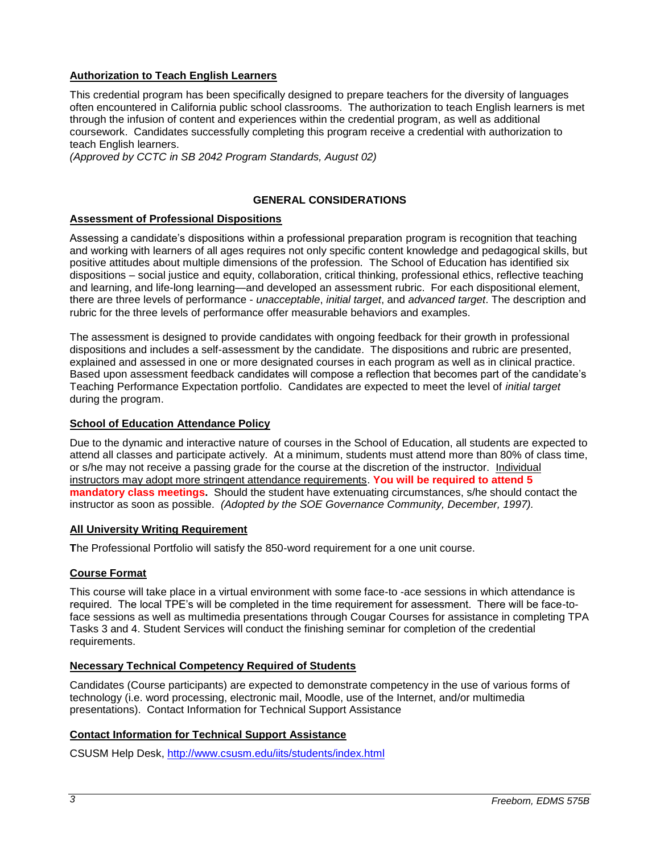# **Authorization to Teach English Learners**

This credential program has been specifically designed to prepare teachers for the diversity of languages often encountered in California public school classrooms. The authorization to teach English learners is met through the infusion of content and experiences within the credential program, as well as additional coursework. Candidates successfully completing this program receive a credential with authorization to teach English learners.

*(Approved by CCTC in SB 2042 Program Standards, August 02)*

### **GENERAL CONSIDERATIONS**

### **Assessment of Professional Dispositions**

Assessing a candidate's dispositions within a professional preparation program is recognition that teaching and working with learners of all ages requires not only specific content knowledge and pedagogical skills, but positive attitudes about multiple dimensions of the profession. The School of Education has identified six dispositions – social justice and equity, collaboration, critical thinking, professional ethics, reflective teaching and learning, and life-long learning—and developed an assessment rubric. For each dispositional element, there are three levels of performance - *unacceptable*, *initial target*, and *advanced target*. The description and rubric for the three levels of performance offer measurable behaviors and examples.

The assessment is designed to provide candidates with ongoing feedback for their growth in professional dispositions and includes a self-assessment by the candidate. The dispositions and rubric are presented, explained and assessed in one or more designated courses in each program as well as in clinical practice. Based upon assessment feedback candidates will compose a reflection that becomes part of the candidate's Teaching Performance Expectation portfolio. Candidates are expected to meet the level of *initial target* during the program.

### **School of Education Attendance Policy**

Due to the dynamic and interactive nature of courses in the School of Education, all students are expected to attend all classes and participate actively. At a minimum, students must attend more than 80% of class time, or s/he may not receive a passing grade for the course at the discretion of the instructor. Individual instructors may adopt more stringent attendance requirements. **You will be required to attend 5 mandatory class meetings.** Should the student have extenuating circumstances, s/he should contact the instructor as soon as possible. *(Adopted by the SOE Governance Community, December, 1997).*

#### **All University Writing Requirement**

**T**he Professional Portfolio will satisfy the 850-word requirement for a one unit course.

#### **Course Format**

This course will take place in a virtual environment with some face-to -ace sessions in which attendance is required. The local TPE's will be completed in the time requirement for assessment. There will be face-toface sessions as well as multimedia presentations through Cougar Courses for assistance in completing TPA Tasks 3 and 4. Student Services will conduct the finishing seminar for completion of the credential requirements.

#### **Necessary Technical Competency Required of Students**

Candidates (Course participants) are expected to demonstrate competency in the use of various forms of technology (i.e. word processing, electronic mail, Moodle, use of the Internet, and/or multimedia presentations). Contact Information for Technical Support Assistance

#### **Contact Information for Technical Support Assistance**

CSUSM Help Desk, <http://www.csusm.edu/iits/students/index.html>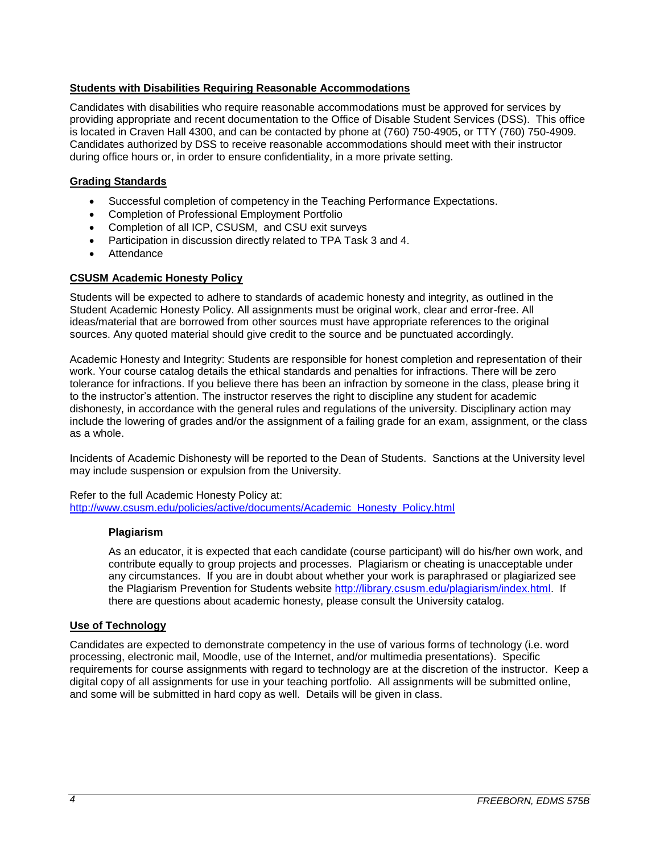### **Students with Disabilities Requiring Reasonable Accommodations**

Candidates with disabilities who require reasonable accommodations must be approved for services by providing appropriate and recent documentation to the Office of Disable Student Services (DSS). This office is located in Craven Hall 4300, and can be contacted by phone at (760) 750-4905, or TTY (760) 750-4909. Candidates authorized by DSS to receive reasonable accommodations should meet with their instructor during office hours or, in order to ensure confidentiality, in a more private setting.

### **Grading Standards**

- Successful completion of competency in the Teaching Performance Expectations.
- Completion of Professional Employment Portfolio
- Completion of all ICP, CSUSM, and CSU exit surveys
- Participation in discussion directly related to TPA Task 3 and 4.
- Attendance

# **CSUSM Academic Honesty Policy**

Students will be expected to adhere to standards of academic honesty and integrity, as outlined in the Student Academic Honesty Policy. All assignments must be original work, clear and error-free. All ideas/material that are borrowed from other sources must have appropriate references to the original sources. Any quoted material should give credit to the source and be punctuated accordingly.

Academic Honesty and Integrity: Students are responsible for honest completion and representation of their work. Your course catalog details the ethical standards and penalties for infractions. There will be zero tolerance for infractions. If you believe there has been an infraction by someone in the class, please bring it to the instructor's attention. The instructor reserves the right to discipline any student for academic dishonesty, in accordance with the general rules and regulations of the university. Disciplinary action may include the lowering of grades and/or the assignment of a failing grade for an exam, assignment, or the class as a whole.

Incidents of Academic Dishonesty will be reported to the Dean of Students. Sanctions at the University level may include suspension or expulsion from the University.

Refer to the full Academic Honesty Policy at: [http://www.csusm.edu/policies/active/documents/Academic\\_Honesty\\_Policy.html](http://www.csusm.edu/policies/active/documents/Academic_Honesty_Policy.html)

#### **Plagiarism**

As an educator, it is expected that each candidate (course participant) will do his/her own work, and contribute equally to group projects and processes. Plagiarism or cheating is unacceptable under any circumstances. If you are in doubt about whether your work is paraphrased or plagiarized see the Plagiarism Prevention for Students website [http://library.csusm.edu/plagiarism/index.html.](http://library.csusm.edu/plagiarism/index.html) If there are questions about academic honesty, please consult the University catalog.

# **Use of Technology**

Candidates are expected to demonstrate competency in the use of various forms of technology (i.e. word processing, electronic mail, Moodle, use of the Internet, and/or multimedia presentations). Specific requirements for course assignments with regard to technology are at the discretion of the instructor. Keep a digital copy of all assignments for use in your teaching portfolio. All assignments will be submitted online, and some will be submitted in hard copy as well. Details will be given in class.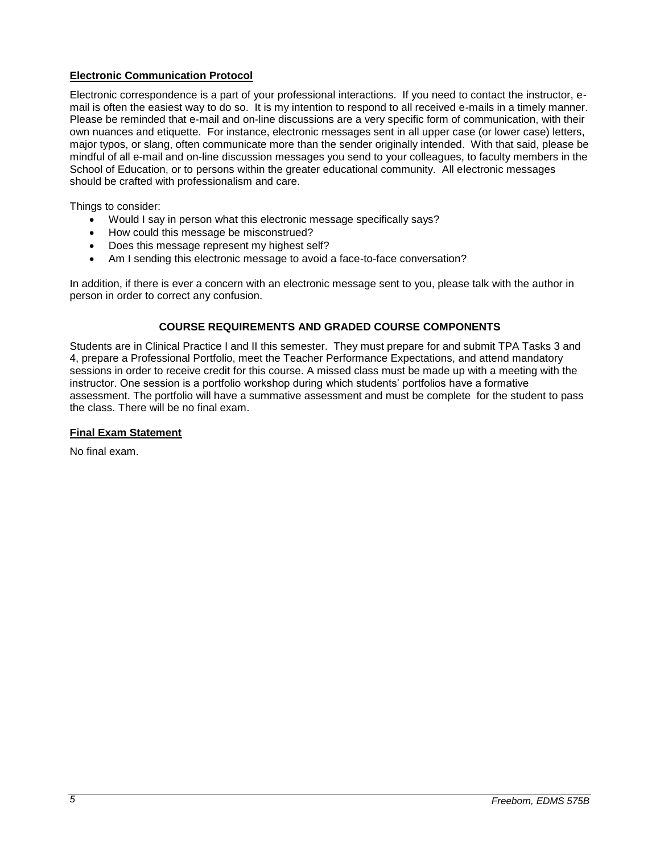# **Electronic Communication Protocol**

Electronic correspondence is a part of your professional interactions. If you need to contact the instructor, email is often the easiest way to do so. It is my intention to respond to all received e-mails in a timely manner. Please be reminded that e-mail and on-line discussions are a very specific form of communication, with their own nuances and etiquette. For instance, electronic messages sent in all upper case (or lower case) letters, major typos, or slang, often communicate more than the sender originally intended. With that said, please be mindful of all e-mail and on-line discussion messages you send to your colleagues, to faculty members in the School of Education, or to persons within the greater educational community. All electronic messages should be crafted with professionalism and care.

Things to consider:

- Would I say in person what this electronic message specifically says?
- How could this message be misconstrued?
- Does this message represent my highest self?
- Am I sending this electronic message to avoid a face-to-face conversation?

In addition, if there is ever a concern with an electronic message sent to you, please talk with the author in person in order to correct any confusion.

# **COURSE REQUIREMENTS AND GRADED COURSE COMPONENTS**

Students are in Clinical Practice I and II this semester. They must prepare for and submit TPA Tasks 3 and 4, prepare a Professional Portfolio, meet the Teacher Performance Expectations, and attend mandatory sessions in order to receive credit for this course. A missed class must be made up with a meeting with the instructor. One session is a portfolio workshop during which students' portfolios have a formative assessment. The portfolio will have a summative assessment and must be complete for the student to pass the class. There will be no final exam.

### **Final Exam Statement**

No final exam.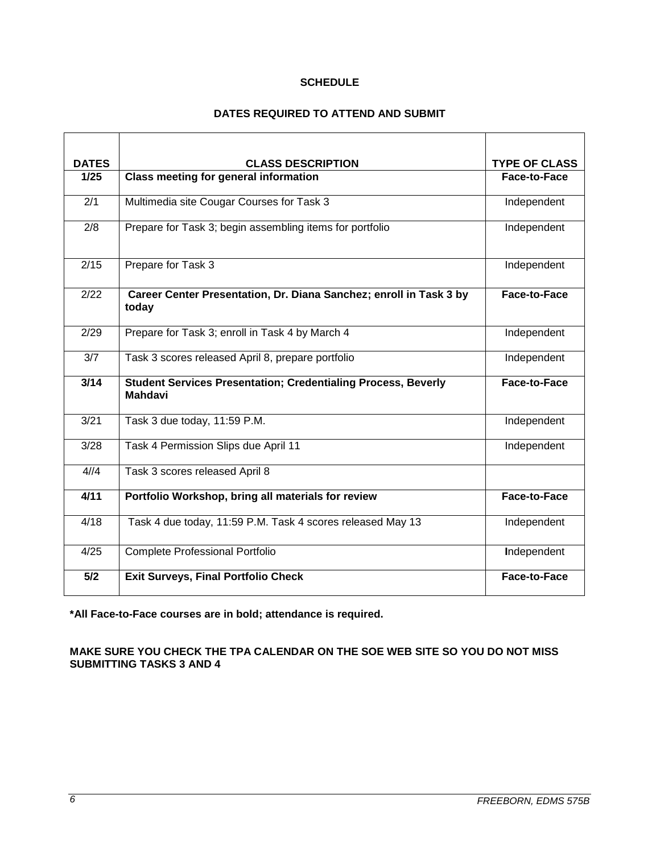### **SCHEDULE**

# **DATES REQUIRED TO ATTEND AND SUBMIT**

| <b>DATES</b> | <b>CLASS DESCRIPTION</b>                                                               | <b>TYPE OF CLASS</b> |
|--------------|----------------------------------------------------------------------------------------|----------------------|
| 1/25         | <b>Class meeting for general information</b>                                           | Face-to-Face         |
| 2/1          | Multimedia site Cougar Courses for Task 3                                              | Independent          |
| 2/8          | Prepare for Task 3; begin assembling items for portfolio                               | Independent          |
| 2/15         | Prepare for Task 3                                                                     | Independent          |
| 2/22         | Career Center Presentation, Dr. Diana Sanchez; enroll in Task 3 by<br>today            | <b>Face-to-Face</b>  |
| 2/29         | Prepare for Task 3; enroll in Task 4 by March 4                                        | Independent          |
| 3/7          | Task 3 scores released April 8, prepare portfolio                                      | Independent          |
| 3/14         | <b>Student Services Presentation; Credentialing Process, Beverly</b><br><b>Mahdavi</b> | Face-to-Face         |
| 3/21         | Task 3 due today, 11:59 P.M.                                                           | Independent          |
| 3/28         | Task 4 Permission Slips due April 11                                                   | Independent          |
| 4/14         | Task 3 scores released April 8                                                         |                      |
| 4/11         | Portfolio Workshop, bring all materials for review                                     | Face-to-Face         |
| 4/18         | Task 4 due today, 11:59 P.M. Task 4 scores released May 13                             | Independent          |
| 4/25         | <b>Complete Professional Portfolio</b>                                                 | Independent          |
| 5/2          | <b>Exit Surveys, Final Portfolio Check</b>                                             | Face-to-Face         |

**\*All Face-to-Face courses are in bold; attendance is required.**

**MAKE SURE YOU CHECK THE TPA CALENDAR ON THE SOE WEB SITE SO YOU DO NOT MISS SUBMITTING TASKS 3 AND 4**